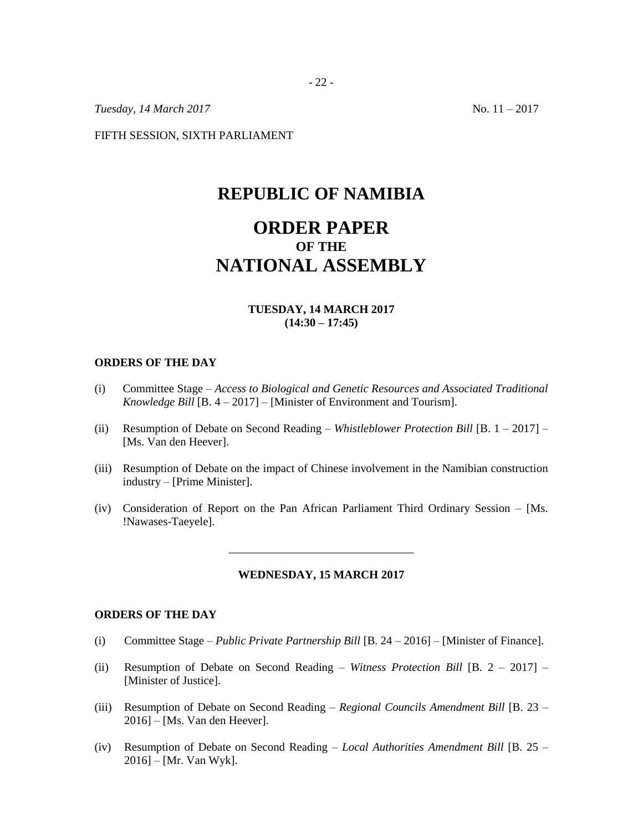*Tuesday, 14 March* 2017 No. 11 – 2017

FIFTH SESSION, SIXTH PARLIAMENT

## **REPUBLIC OF NAMIBIA**

# **ORDER PAPER OF THE NATIONAL ASSEMBLY**

#### **TUESDAY, 14 MARCH 2017 (14:30 – 17:45)**

#### **ORDERS OF THE DAY**

- (i) Committee Stage *Access to Biological and Genetic Resources and Associated Traditional Knowledge Bill* [B. 4 – 2017] – [Minister of Environment and Tourism].
- (ii) Resumption of Debate on Second Reading *Whistleblower Protection Bill* [B. 1 2017] [Ms. Van den Heever].
- (iii) Resumption of Debate on the impact of Chinese involvement in the Namibian construction industry – [Prime Minister].
- (iv) Consideration of Report on the Pan African Parliament Third Ordinary Session [Ms. !Nawases-Taeyele].

#### **WEDNESDAY, 15 MARCH 2017**

\_\_\_\_\_\_\_\_\_\_\_\_\_\_\_\_\_\_\_\_\_\_\_\_\_\_\_\_\_\_\_\_

#### **ORDERS OF THE DAY**

- (i) Committee Stage *– Public Private Partnership Bill* [B. 24 2016] [Minister of Finance].
- (ii) Resumption of Debate on Second Reading *Witness Protection Bill* [B. 2 2017] [Minister of Justice].
- (iii) Resumption of Debate on Second Reading *Regional Councils Amendment Bill* [B. 23 2016] – [Ms. Van den Heever].
- (iv) Resumption of Debate on Second Reading *Local Authorities Amendment Bill* [B. 25 2016] – [Mr. Van Wyk].